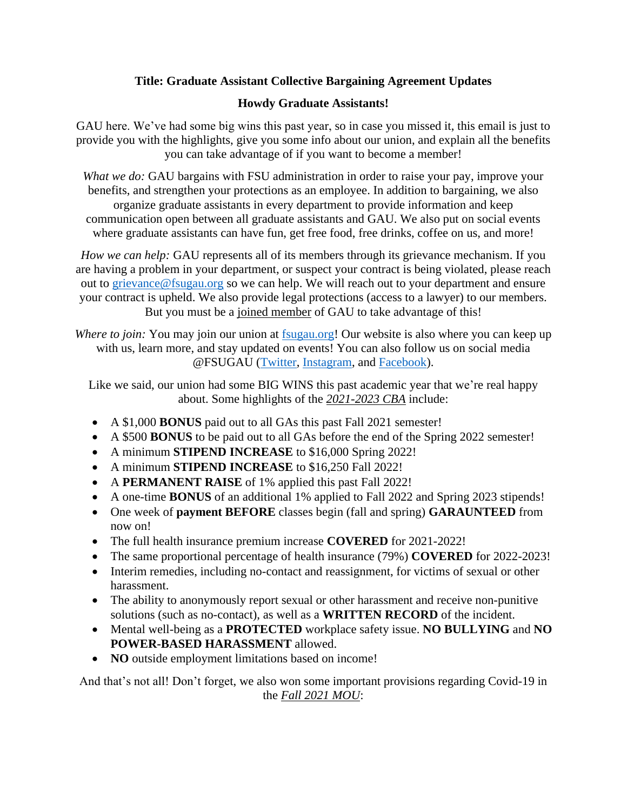## **Title: Graduate Assistant Collective Bargaining Agreement Updates**

## **Howdy Graduate Assistants!**

GAU here. We've had some big wins this past year, so in case you missed it, this email is just to provide you with the highlights, give you some info about our union, and explain all the benefits you can take advantage of if you want to become a member!

*What we do:* GAU bargains with FSU administration in order to raise your pay, improve your benefits, and strengthen your protections as an employee. In addition to bargaining, we also organize graduate assistants in every department to provide information and keep communication open between all graduate assistants and GAU. We also put on social events where graduate assistants can have fun, get free food, free drinks, coffee on us, and more!

*How we can help:* GAU represents all of its members through its grievance mechanism. If you are having a problem in your department, or suspect your contract is being violated, please reach out to [grievance@fsugau.org](mailto:grievance@fsugau.org) so we can help. We will reach out to your department and ensure your contract is upheld. We also provide legal protections (access to a lawyer) to our members. But you must be a joined member of GAU to take advantage of this!

*Where to join:* You may join our union at [fsugau.org!](file:///C:/Users/jscot/AppData/Local/Temp/fsugau.org) Our website is also where you can keep up with us, learn more, and stay updated on events! You can also follow us on social media @FSUGAU [\(Twitter,](https://twitter.com/FSU_GAU?ref_src=twsrc%5Egoogle%7Ctwcamp%5Eserp%7Ctwgr%5Eauthor) [Instagram,](https://www.instagram.com/fsugau/?hl=en) and [Facebook\)](https://www.facebook.com/fsugau/).

Like we said, our union had some BIG WINS this past academic year that we're real happy about. Some highlights of the *2021-2023 CBA* include:

- A \$1,000 **BONUS** paid out to all GAs this past Fall 2021 semester!
- A \$500 **BONUS** to be paid out to all GAs before the end of the Spring 2022 semester!
- A minimum **STIPEND INCREASE** to \$16,000 Spring 2022!
- A minimum **STIPEND INCREASE** to \$16,250 Fall 2022!
- A **PERMANENT RAISE** of 1% applied this past Fall 2022!
- A one-time **BONUS** of an additional 1% applied to Fall 2022 and Spring 2023 stipends!
- One week of **payment BEFORE** classes begin (fall and spring) **GARAUNTEED** from now on!
- The full health insurance premium increase **COVERED** for 2021-2022!
- The same proportional percentage of health insurance (79%) **COVERED** for 2022-2023!
- Interim remedies, including no-contact and reassignment, for victims of sexual or other harassment.
- The ability to anonymously report sexual or other harassment and receive non-punitive solutions (such as no-contact), as well as a **WRITTEN RECORD** of the incident.
- Mental well-being as a **PROTECTED** workplace safety issue. **NO BULLYING** and **NO POWER-BASED HARASSMENT** allowed.
- **NO** outside employment limitations based on income!

And that's not all! Don't forget, we also won some important provisions regarding Covid-19 in the *Fall 2021 MOU*: